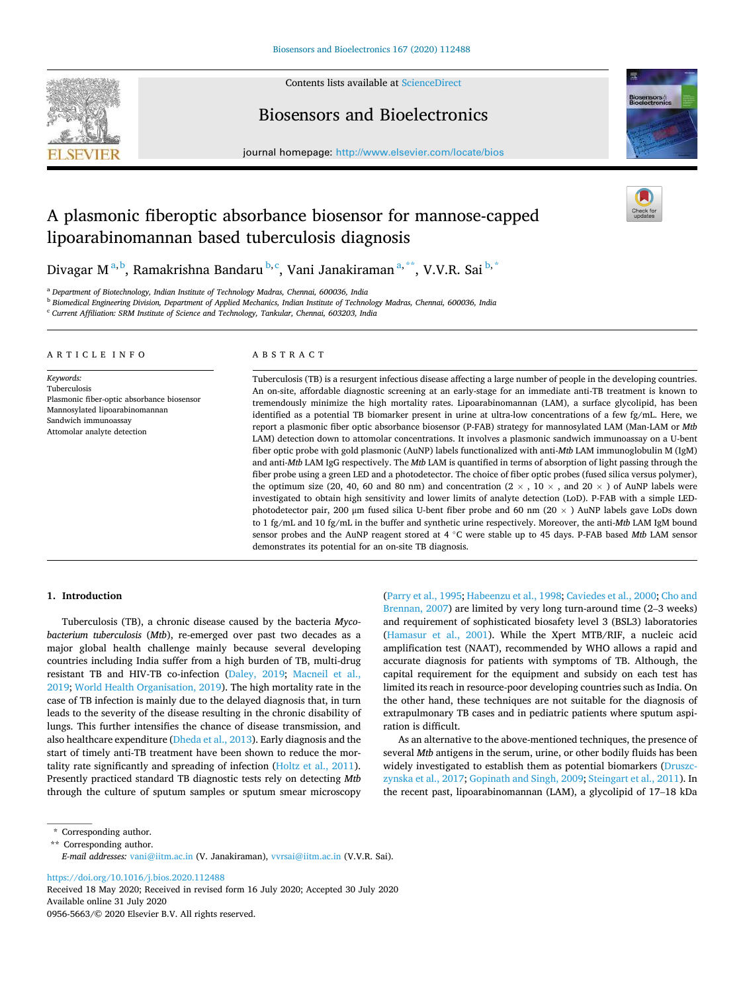

Contents lists available at [ScienceDirect](www.sciencedirect.com/science/journal/09565663)

# Biosensors and Bioelectronics



journal homepage: [http://www.elsevier.com/locate/bios](https://http://www.elsevier.com/locate/bios)

# A plasmonic fiberoptic absorbance biosensor for mannose-capped lipoarabinomannan based tuberculosis diagnosis

Divagar M<sup>a,b</sup>, Ramakrishna Bandaru<sup>b,c</sup>, Vani Janakiraman<sup>a,\*\*</sup>, V.V.R. Sai<sup>b,\*</sup>

<sup>a</sup> *Department of Biotechnology, Indian Institute of Technology Madras, Chennai, 600036, India* 

b *Biomedical Engineering Division, Department of Applied Mechanics, Indian Institute of Technology Madras, Chennai, 600036, India* 

<sup>c</sup> *Current Affiliation: SRM Institute of Science and Technology, Tankular, Chennai, 603203, India* 

#### A R T I C L E I N F O

*Keywords:*  Tuberculosis Plasmonic fiber-optic absorbance biosensor Mannosylated lipoarabinomannan Sandwich immunoassay Attomolar analyte detection

# ABSTRACT

Tuberculosis (TB) is a resurgent infectious disease affecting a large number of people in the developing countries. An on-site, affordable diagnostic screening at an early-stage for an immediate anti-TB treatment is known to tremendously minimize the high mortality rates. Lipoarabinomannan (LAM), a surface glycolipid, has been identified as a potential TB biomarker present in urine at ultra-low concentrations of a few fg/mL. Here, we report a plasmonic fiber optic absorbance biosensor (P-FAB) strategy for mannosylated LAM (Man-LAM or *Mtb*  LAM) detection down to attomolar concentrations. It involves a plasmonic sandwich immunoassay on a U-bent fiber optic probe with gold plasmonic (AuNP) labels functionalized with anti-*Mtb* LAM immunoglobulin M (IgM) and anti-*Mtb* LAM IgG respectively. The *Mtb* LAM is quantified in terms of absorption of light passing through the fiber probe using a green LED and a photodetector. The choice of fiber optic probes (fused silica versus polymer), the optimum size (20, 40, 60 and 80 nm) and concentration ( $2 \times$ ,  $10 \times$ , and  $20 \times$ ) of AuNP labels were investigated to obtain high sensitivity and lower limits of analyte detection (LoD). P-FAB with a simple LEDphotodetector pair, 200 μm fused silica U-bent fiber probe and 60 nm (20 × ) AuNP labels gave LoDs down to 1 fg/mL and 10 fg/mL in the buffer and synthetic urine respectively. Moreover, the anti-*Mtb* LAM IgM bound sensor probes and the AuNP reagent stored at 4 ◦C were stable up to 45 days. P-FAB based *Mtb* LAM sensor demonstrates its potential for an on-site TB diagnosis.

# **1. Introduction**

Tuberculosis (TB), a chronic disease caused by the bacteria *Mycobacterium tuberculosis* (*Mtb*), re-emerged over past two decades as a major global health challenge mainly because several developing countries including India suffer from a high burden of TB, multi-drug resistant TB and HIV-TB co-infection ([Daley, 2019;](#page-5-0) [Macneil et al.,](#page-6-0)  [2019; World Health Organisation, 2019](#page-6-0)). The high mortality rate in the case of TB infection is mainly due to the delayed diagnosis that, in turn leads to the severity of the disease resulting in the chronic disability of lungs. This further intensifies the chance of disease transmission, and also healthcare expenditure ([Dheda et al., 2013](#page-5-0)). Early diagnosis and the start of timely anti-TB treatment have been shown to reduce the mortality rate significantly and spreading of infection ([Holtz et al., 2011](#page-5-0)). Presently practiced standard TB diagnostic tests rely on detecting *Mtb*  through the culture of sputum samples or sputum smear microscopy

<https://doi.org/10.1016/j.bios.2020.112488>

([Parry et al., 1995](#page-6-0); [Habeenzu et al., 1998](#page-5-0); [Caviedes et al., 2000; Cho and](#page-5-0)  [Brennan, 2007\)](#page-5-0) are limited by very long turn-around time (2–3 weeks) and requirement of sophisticated biosafety level 3 (BSL3) laboratories ([Hamasur et al., 2001](#page-5-0)). While the Xpert MTB/RIF, a nucleic acid amplification test (NAAT), recommended by WHO allows a rapid and accurate diagnosis for patients with symptoms of TB. Although, the capital requirement for the equipment and subsidy on each test has limited its reach in resource-poor developing countries such as India. On the other hand, these techniques are not suitable for the diagnosis of extrapulmonary TB cases and in pediatric patients where sputum aspiration is difficult.

As an alternative to the above-mentioned techniques, the presence of several *Mtb* antigens in the serum, urine, or other bodily fluids has been widely investigated to establish them as potential biomarkers [\(Druszc](#page-5-0)[zynska et al., 2017](#page-5-0); [Gopinath and Singh, 2009;](#page-5-0) [Steingart et al., 2011](#page-6-0)). In the recent past, lipoarabinomannan (LAM), a glycolipid of 17–18 kDa

<sup>\*</sup> Corresponding author.

<sup>\*\*</sup> Corresponding author.

*E-mail addresses:* [vani@iitm.ac.in](mailto:vani@iitm.ac.in) (V. Janakiraman), [vvrsai@iitm.ac.in](mailto:vvrsai@iitm.ac.in) (V.V.R. Sai).

Available online 31 July 2020 0956-5663/© 2020 Elsevier B.V. All rights reserved. Received 18 May 2020; Received in revised form 16 July 2020; Accepted 30 July 2020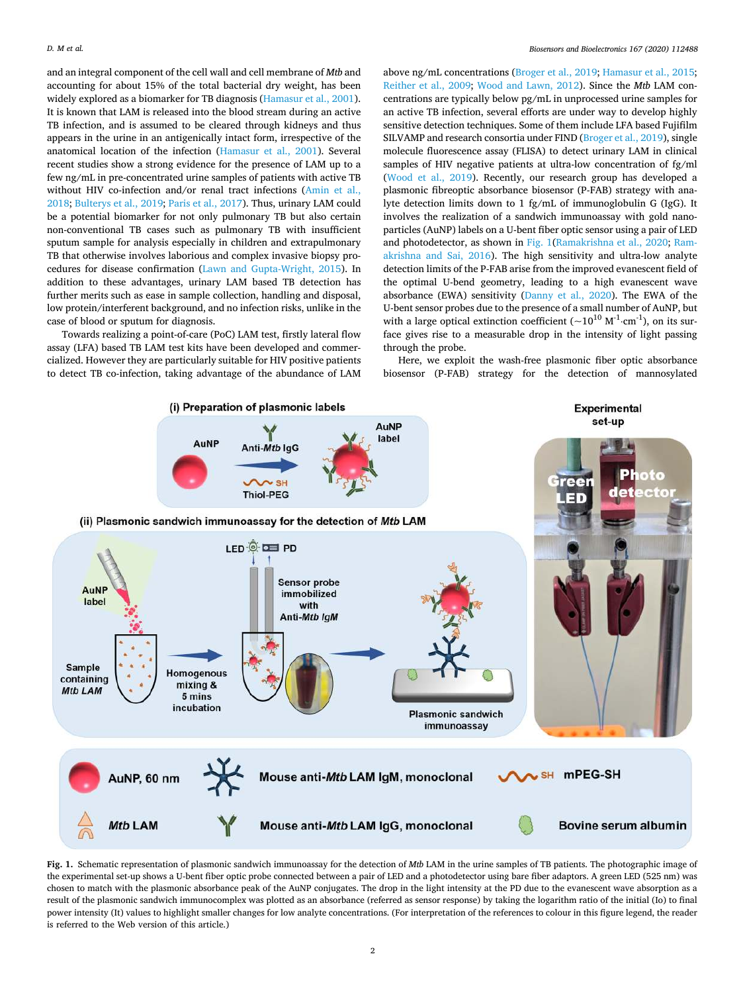<span id="page-1-0"></span>and an integral component of the cell wall and cell membrane of *Mtb* and accounting for about 15% of the total bacterial dry weight, has been widely explored as a biomarker for TB diagnosis ([Hamasur et al., 2001](#page-5-0)). It is known that LAM is released into the blood stream during an active TB infection, and is assumed to be cleared through kidneys and thus appears in the urine in an antigenically intact form, irrespective of the anatomical location of the infection ([Hamasur et al., 2001](#page-5-0)). Several recent studies show a strong evidence for the presence of LAM up to a few ng/mL in pre-concentrated urine samples of patients with active TB without HIV co-infection and/or renal tract infections [\(Amin et al.,](#page-5-0)  [2018; Bulterys et al., 2019](#page-5-0); [Paris et al., 2017\)](#page-6-0). Thus, urinary LAM could be a potential biomarker for not only pulmonary TB but also certain non-conventional TB cases such as pulmonary TB with insufficient sputum sample for analysis especially in children and extrapulmonary TB that otherwise involves laborious and complex invasive biopsy procedures for disease confirmation ([Lawn and Gupta-Wright, 2015\)](#page-5-0). In addition to these advantages, urinary LAM based TB detection has further merits such as ease in sample collection, handling and disposal, low protein/interferent background, and no infection risks, unlike in the case of blood or sputum for diagnosis.

Towards realizing a point-of-care (PoC) LAM test, firstly lateral flow assay (LFA) based TB LAM test kits have been developed and commercialized. However they are particularly suitable for HIV positive patients to detect TB co-infection, taking advantage of the abundance of LAM above ng/mL concentrations [\(Broger et al., 2019; Hamasur et al., 2015](#page-5-0); [Reither et al., 2009;](#page-6-0) [Wood and Lawn, 2012](#page-6-0)). Since the *Mtb* LAM concentrations are typically below pg/mL in unprocessed urine samples for an active TB infection, several efforts are under way to develop highly sensitive detection techniques. Some of them include LFA based Fujifilm SILVAMP and research consortia under FIND [\(Broger et al., 2019](#page-5-0)), single molecule fluorescence assay (FLISA) to detect urinary LAM in clinical samples of HIV negative patients at ultra-low concentration of fg/ml ([Wood et al., 2019\)](#page-6-0). Recently, our research group has developed a plasmonic fibreoptic absorbance biosensor (P-FAB) strategy with analyte detection limits down to 1 fg/mL of immunoglobulin G (IgG). It involves the realization of a sandwich immunoassay with gold nanoparticles (AuNP) labels on a U-bent fiber optic sensor using a pair of LED and photodetector, as shown in Fig. 1([Ramakrishna et al., 2020](#page-6-0); [Ram](#page-6-0)[akrishna and Sai, 2016\)](#page-6-0). The high sensitivity and ultra-low analyte detection limits of the P-FAB arise from the improved evanescent field of the optimal U-bend geometry, leading to a high evanescent wave absorbance (EWA) sensitivity ([Danny et al., 2020\)](#page-5-0). The EWA of the U-bent sensor probes due to the presence of a small number of AuNP, but with a large optical extinction coefficient ( $\sim$ 10<sup>10</sup> M<sup>-1</sup>·cm<sup>-1</sup>), on its surface gives rise to a measurable drop in the intensity of light passing through the probe.

Here, we exploit the wash-free plasmonic fiber optic absorbance biosensor (P-FAB) strategy for the detection of mannosylated



**Fig. 1.** Schematic representation of plasmonic sandwich immunoassay for the detection of *Mtb* LAM in the urine samples of TB patients. The photographic image of the experimental set-up shows a U-bent fiber optic probe connected between a pair of LED and a photodetector using bare fiber adaptors. A green LED (525 nm) was chosen to match with the plasmonic absorbance peak of the AuNP conjugates. The drop in the light intensity at the PD due to the evanescent wave absorption as a result of the plasmonic sandwich immunocomplex was plotted as an absorbance (referred as sensor response) by taking the logarithm ratio of the initial (Io) to final power intensity (It) values to highlight smaller changes for low analyte concentrations. (For interpretation of the references to colour in this figure legend, the reader is referred to the Web version of this article.)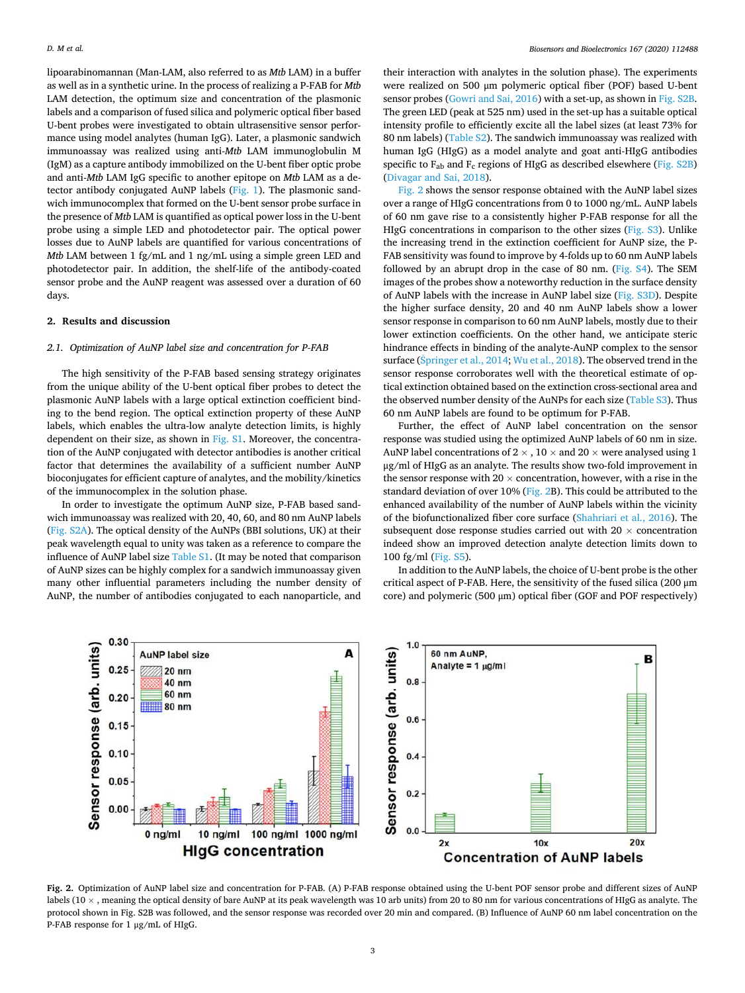lipoarabinomannan (Man-LAM, also referred to as *Mtb* LAM) in a buffer as well as in a synthetic urine. In the process of realizing a P-FAB for *Mtb*  LAM detection, the optimum size and concentration of the plasmonic labels and a comparison of fused silica and polymeric optical fiber based U-bent probes were investigated to obtain ultrasensitive sensor performance using model analytes (human IgG). Later, a plasmonic sandwich immunoassay was realized using anti-*Mtb* LAM immunoglobulin M (IgM) as a capture antibody immobilized on the U-bent fiber optic probe and anti-*Mtb* LAM IgG specific to another epitope on *Mtb* LAM as a detector antibody conjugated AuNP labels [\(Fig. 1\)](#page-1-0). The plasmonic sandwich immunocomplex that formed on the U-bent sensor probe surface in the presence of *Mtb* LAM is quantified as optical power loss in the U-bent probe using a simple LED and photodetector pair. The optical power losses due to AuNP labels are quantified for various concentrations of *Mtb* LAM between 1 fg/mL and 1 ng/mL using a simple green LED and photodetector pair. In addition, the shelf-life of the antibody-coated sensor probe and the AuNP reagent was assessed over a duration of 60 days.

# **2. Results and discussion**

# *2.1. Optimization of AuNP label size and concentration for P-FAB*

The high sensitivity of the P-FAB based sensing strategy originates from the unique ability of the U-bent optical fiber probes to detect the plasmonic AuNP labels with a large optical extinction coefficient binding to the bend region. The optical extinction property of these AuNP labels, which enables the ultra-low analyte detection limits, is highly dependent on their size, as shown in Fig. S1. Moreover, the concentration of the AuNP conjugated with detector antibodies is another critical factor that determines the availability of a sufficient number AuNP bioconjugates for efficient capture of analytes, and the mobility/kinetics of the immunocomplex in the solution phase.

In order to investigate the optimum AuNP size, P-FAB based sandwich immunoassay was realized with 20, 40, 60, and 80 nm AuNP labels (Fig. S2A). The optical density of the AuNPs (BBI solutions, UK) at their peak wavelength equal to unity was taken as a reference to compare the influence of AuNP label size Table S1. (It may be noted that comparison of AuNP sizes can be highly complex for a sandwich immunoassay given many other influential parameters including the number density of AuNP, the number of antibodies conjugated to each nanoparticle, and

their interaction with analytes in the solution phase). The experiments were realized on 500 μm polymeric optical fiber (POF) based U-bent sensor probes [\(Gowri and Sai, 2016](#page-5-0)) with a set-up, as shown in Fig. S2B. The green LED (peak at 525 nm) used in the set-up has a suitable optical intensity profile to efficiently excite all the label sizes (at least 73% for 80 nm labels) (Table S2). The sandwich immunoassay was realized with human IgG (HIgG) as a model analyte and goat anti-HIgG antibodies specific to  $F_{ab}$  and  $F_c$  regions of HIgG as described elsewhere (Fig. S2B) ([Divagar and Sai, 2018](#page-5-0)).

Fig. 2 shows the sensor response obtained with the AuNP label sizes over a range of HIgG concentrations from 0 to 1000 ng/mL. AuNP labels of 60 nm gave rise to a consistently higher P-FAB response for all the HIgG concentrations in comparison to the other sizes (Fig. S3). Unlike the increasing trend in the extinction coefficient for AuNP size, the P-FAB sensitivity was found to improve by 4-folds up to 60 nm AuNP labels followed by an abrupt drop in the case of 80 nm. (Fig. S4). The SEM images of the probes show a noteworthy reduction in the surface density of AuNP labels with the increase in AuNP label size (Fig. S3D). Despite the higher surface density, 20 and 40 nm AuNP labels show a lower sensor response in comparison to 60 nm AuNP labels, mostly due to their lower extinction coefficients. On the other hand, we anticipate steric hindrance effects in binding of the analyte-AuNP complex to the sensor surface (Špringer et al., 2014; [Wu et al., 2018\)](#page-6-0). The observed trend in the sensor response corroborates well with the theoretical estimate of optical extinction obtained based on the extinction cross-sectional area and the observed number density of the AuNPs for each size (Table S3). Thus 60 nm AuNP labels are found to be optimum for P-FAB.

Further, the effect of AuNP label concentration on the sensor response was studied using the optimized AuNP labels of 60 nm in size. AuNP label concentrations of  $2 \times$ ,  $10 \times$  and  $20 \times$  were analysed using 1 μg/ml of HIgG as an analyte. The results show two-fold improvement in the sensor response with 20  $\times$  concentration, however, with a rise in the standard deviation of over 10% (Fig. 2B). This could be attributed to the enhanced availability of the number of AuNP labels within the vicinity of the biofunctionalized fiber core surface [\(Shahriari et al., 2016\)](#page-6-0). The subsequent dose response studies carried out with 20  $\times$  concentration indeed show an improved detection analyte detection limits down to 100 fg/ml (Fig. S5).

In addition to the AuNP labels, the choice of U-bent probe is the other critical aspect of P-FAB. Here, the sensitivity of the fused silica (200 μm core) and polymeric (500 μm) optical fiber (GOF and POF respectively)



**Fig. 2.** Optimization of AuNP label size and concentration for P-FAB. (A) P-FAB response obtained using the U-bent POF sensor probe and different sizes of AuNP labels (10  $\times$ , meaning the optical density of bare AuNP at its peak wavelength was 10 arb units) from 20 to 80 nm for various concentrations of HIgG as analyte. The protocol shown in Fig. S2B was followed, and the sensor response was recorded over 20 min and compared. (B) Influence of AuNP 60 nm label concentration on the P-FAB response for 1 μg/mL of HIgG.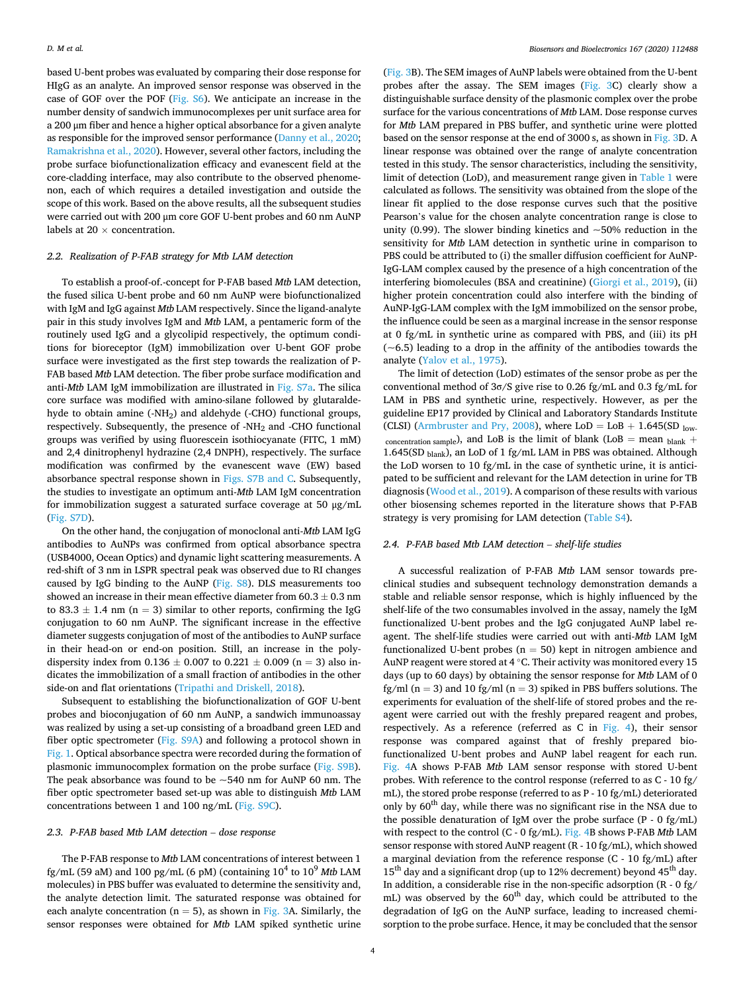based U-bent probes was evaluated by comparing their dose response for HIgG as an analyte. An improved sensor response was observed in the case of GOF over the POF (Fig. S6). We anticipate an increase in the number density of sandwich immunocomplexes per unit surface area for a 200 μm fiber and hence a higher optical absorbance for a given analyte as responsible for the improved sensor performance [\(Danny et al., 2020](#page-5-0); [Ramakrishna et al., 2020\)](#page-6-0). However, several other factors, including the probe surface biofunctionalization efficacy and evanescent field at the core-cladding interface, may also contribute to the observed phenomenon, each of which requires a detailed investigation and outside the scope of this work. Based on the above results, all the subsequent studies were carried out with 200 μm core GOF U-bent probes and 60 nm AuNP labels at 20  $\times$  concentration.

#### *2.2. Realization of P-FAB strategy for Mtb LAM detection*

To establish a proof-of.-concept for P-FAB based *Mtb* LAM detection, the fused silica U-bent probe and 60 nm AuNP were biofunctionalized with IgM and IgG against *Mtb* LAM respectively. Since the ligand-analyte pair in this study involves IgM and *Mtb* LAM, a pentameric form of the routinely used IgG and a glycolipid respectively, the optimum conditions for bioreceptor (IgM) immobilization over U-bent GOF probe surface were investigated as the first step towards the realization of P-FAB based *Mtb* LAM detection. The fiber probe surface modification and anti-*Mtb* LAM IgM immobilization are illustrated in Fig. S7a. The silica core surface was modified with amino-silane followed by glutaraldehyde to obtain amine (-NH<sub>2</sub>) and aldehyde (-CHO) functional groups, respectively. Subsequently, the presence of -NH2 and -CHO functional groups was verified by using fluorescein isothiocyanate (FITC, 1 mM) and 2,4 dinitrophenyl hydrazine (2,4 DNPH), respectively. The surface modification was confirmed by the evanescent wave (EW) based absorbance spectral response shown in Figs. S7B and C. Subsequently, the studies to investigate an optimum anti-*Mtb* LAM IgM concentration for immobilization suggest a saturated surface coverage at 50 μg/mL (Fig. S7D).

On the other hand, the conjugation of monoclonal anti-*Mtb* LAM IgG antibodies to AuNPs was confirmed from optical absorbance spectra (USB4000, Ocean Optics) and dynamic light scattering measurements. A red-shift of 3 nm in LSPR spectral peak was observed due to RI changes caused by IgG binding to the AuNP (Fig. S8). DLS measurements too showed an increase in their mean effective diameter from  $60.3\pm0.3$  nm to 83.3  $\pm$  1.4 nm (n = 3) similar to other reports, confirming the IgG conjugation to 60 nm AuNP. The significant increase in the effective diameter suggests conjugation of most of the antibodies to AuNP surface in their head-on or end-on position. Still, an increase in the polydispersity index from  $0.136 \pm 0.007$  to  $0.221 \pm 0.009$  (n = 3) also indicates the immobilization of a small fraction of antibodies in the other side-on and flat orientations ([Tripathi and Driskell, 2018\)](#page-6-0).

Subsequent to establishing the biofunctionalization of GOF U-bent probes and bioconjugation of 60 nm AuNP, a sandwich immunoassay was realized by using a set-up consisting of a broadband green LED and fiber optic spectrometer (Fig. S9A) and following a protocol shown in [Fig. 1.](#page-1-0) Optical absorbance spectra were recorded during the formation of plasmonic immunocomplex formation on the probe surface (Fig. S9B). The peak absorbance was found to be  $\sim$  540 nm for AuNP 60 nm. The fiber optic spectrometer based set-up was able to distinguish *Mtb* LAM concentrations between 1 and 100 ng/mL (Fig. S9C).

#### *2.3. P-FAB based Mtb LAM detection* – *dose response*

The P-FAB response to *Mtb* LAM concentrations of interest between 1 fg/mL (59 aM) and 100 pg/mL (6 pM) (containing  $10^4$  to  $10^9$  *Mtb* LAM molecules) in PBS buffer was evaluated to determine the sensitivity and, the analyte detection limit. The saturated response was obtained for each analyte concentration ( $n = 5$ ), as shown in [Fig. 3A](#page-4-0). Similarly, the sensor responses were obtained for *Mtb* LAM spiked synthetic urine

([Fig. 3B](#page-4-0)). The SEM images of AuNP labels were obtained from the U-bent probes after the assay. The SEM images [\(Fig. 3C](#page-4-0)) clearly show a distinguishable surface density of the plasmonic complex over the probe surface for the various concentrations of *Mtb* LAM. Dose response curves for *Mtb* LAM prepared in PBS buffer, and synthetic urine were plotted based on the sensor response at the end of 3000 s, as shown in [Fig. 3D](#page-4-0). A linear response was obtained over the range of analyte concentration tested in this study. The sensor characteristics, including the sensitivity, limit of detection (LoD), and measurement range given in [Table 1](#page-4-0) were calculated as follows. The sensitivity was obtained from the slope of the linear fit applied to the dose response curves such that the positive Pearson's value for the chosen analyte concentration range is close to unity (0.99). The slower binding kinetics and  $\sim$  50% reduction in the sensitivity for *Mtb* LAM detection in synthetic urine in comparison to PBS could be attributed to (i) the smaller diffusion coefficient for AuNP-IgG-LAM complex caused by the presence of a high concentration of the interfering biomolecules (BSA and creatinine) [\(Giorgi et al., 2019](#page-5-0)), (ii) higher protein concentration could also interfere with the binding of AuNP-IgG-LAM complex with the IgM immobilized on the sensor probe, the influence could be seen as a marginal increase in the sensor response at 0 fg/mL in synthetic urine as compared with PBS, and (iii) its pH  $(-6.5)$  leading to a drop in the affinity of the antibodies towards the analyte ([Yalov et al., 1975](#page-6-0)).

The limit of detection (LoD) estimates of the sensor probe as per the conventional method of 3σ/S give rise to 0.26 fg/mL and 0.3 fg/mL for LAM in PBS and synthetic urine, respectively. However, as per the guideline EP17 provided by Clinical and Laboratory Standards Institute (CLSI) [\(Armbruster and Pry, 2008\)](#page-5-0), where  $LoD = LoB + 1.645(SD)_{low}$ . concentration sample), and LoB is the limit of blank (LoB = mean  $_{\text{blank}}$  + 1.645(SD blank), an LoD of 1 fg/mL LAM in PBS was obtained. Although the LoD worsen to 10 fg/mL in the case of synthetic urine, it is anticipated to be sufficient and relevant for the LAM detection in urine for TB diagnosis [\(Wood et al., 2019\)](#page-6-0). A comparison of these results with various other biosensing schemes reported in the literature shows that P-FAB strategy is very promising for LAM detection (Table S4).

#### *2.4. P-FAB based Mtb LAM detection* – *shelf-life studies*

A successful realization of P-FAB *Mtb* LAM sensor towards preclinical studies and subsequent technology demonstration demands a stable and reliable sensor response, which is highly influenced by the shelf-life of the two consumables involved in the assay, namely the IgM functionalized U-bent probes and the IgG conjugated AuNP label reagent. The shelf-life studies were carried out with anti-*Mtb* LAM IgM functionalized U-bent probes ( $n = 50$ ) kept in nitrogen ambience and AuNP reagent were stored at 4 ◦C. Their activity was monitored every 15 days (up to 60 days) by obtaining the sensor response for *Mtb* LAM of 0 fg/ml ( $n = 3$ ) and 10 fg/ml ( $n = 3$ ) spiked in PBS buffers solutions. The experiments for evaluation of the shelf-life of stored probes and the reagent were carried out with the freshly prepared reagent and probes, respectively. As a reference (referred as C in [Fig. 4\)](#page-5-0), their sensor response was compared against that of freshly prepared biofunctionalized U-bent probes and AuNP label reagent for each run. [Fig. 4](#page-5-0)A shows P-FAB *Mtb* LAM sensor response with stored U-bent probes. With reference to the control response (referred to as C - 10 fg/ mL), the stored probe response (referred to as P - 10 fg/mL) deteriorated only by  $60^{\text{th}}$  day, while there was no significant rise in the NSA due to the possible denaturation of IgM over the probe surface (P - 0 fg/mL) with respect to the control (C - 0 fg/mL). [Fig. 4B](#page-5-0) shows P-FAB *Mtb* LAM sensor response with stored AuNP reagent (R - 10 fg/mL), which showed a marginal deviation from the reference response (C - 10 fg/mL) after  $15<sup>th</sup>$  day and a significant drop (up to 12% decrement) beyond 45<sup>th</sup> day. In addition, a considerable rise in the non-specific adsorption (R - 0 fg/ mL) was observed by the 60<sup>th</sup> day, which could be attributed to the degradation of IgG on the AuNP surface, leading to increased chemisorption to the probe surface. Hence, it may be concluded that the sensor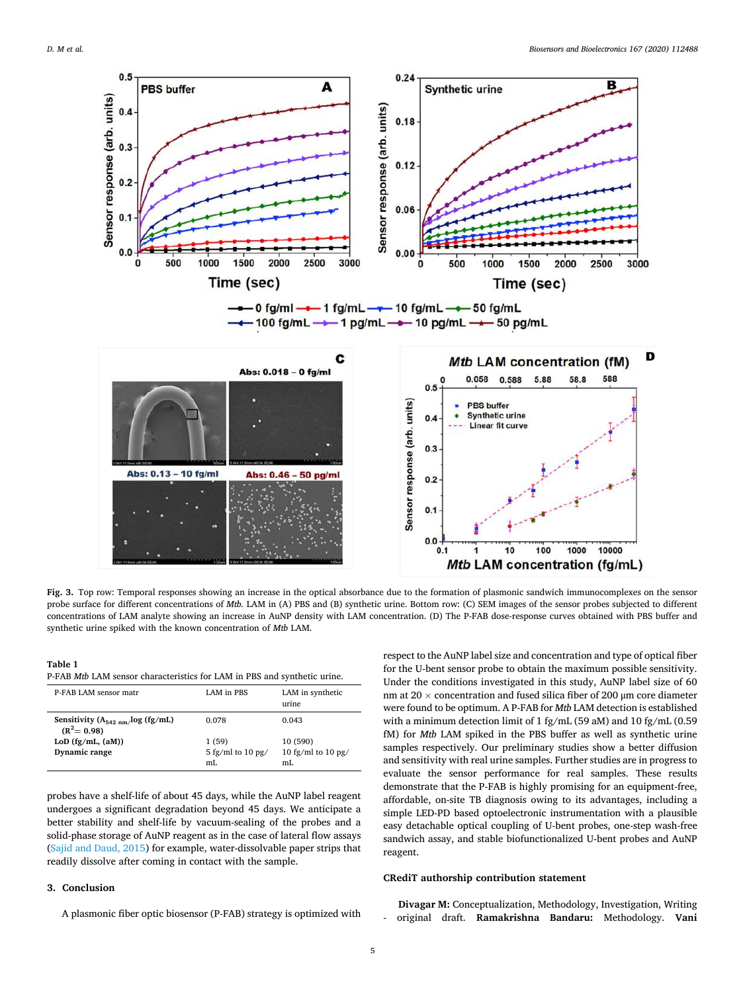<span id="page-4-0"></span>

**Fig. 3.** Top row: Temporal responses showing an increase in the optical absorbance due to the formation of plasmonic sandwich immunocomplexes on the sensor probe surface for different concentrations of *Mtb.* LAM in (A) PBS and (B) synthetic urine. Bottom row: (C) SEM images of the sensor probes subjected to different concentrations of LAM analyte showing an increase in AuNP density with LAM concentration. (D) The P-FAB dose-response curves obtained with PBS buffer and synthetic urine spiked with the known concentration of *Mtb* LAM.

#### **Table 1**  P-FAB *Mtb* LAM sensor characteristics for LAM in PBS and synthetic urine.

| P-FAB LAM sensor matr                                   | LAM in PBS                 | LAM in synthetic<br>urine |
|---------------------------------------------------------|----------------------------|---------------------------|
| Sensitivity $(A_{542 \ nm}/log (fg/mL)$<br>$(R^2=0.98)$ | 0.078                      | 0.043                     |
| LoD (fg/mL, (aM))                                       | 1(59)                      | 10 (590)                  |
| Dynamic range                                           | 5 fg/ml to $10 \text{ pg}$ | 10 fg/ml to 10 pg/        |
|                                                         | mI.                        | mI.                       |

probes have a shelf-life of about 45 days, while the AuNP label reagent undergoes a significant degradation beyond 45 days. We anticipate a better stability and shelf-life by vacuum-sealing of the probes and a solid-phase storage of AuNP reagent as in the case of lateral flow assays ([Sajid and Daud, 2015](#page-6-0)) for example, water-dissolvable paper strips that readily dissolve after coming in contact with the sample.

# **3. Conclusion**

A plasmonic fiber optic biosensor (P-FAB) strategy is optimized with

respect to the AuNP label size and concentration and type of optical fiber for the U-bent sensor probe to obtain the maximum possible sensitivity. Under the conditions investigated in this study, AuNP label size of 60 nm at 20  $\times$  concentration and fused silica fiber of 200  $\mu$ m core diameter were found to be optimum. A P-FAB for *Mtb* LAM detection is established with a minimum detection limit of 1 fg/mL (59 aM) and 10 fg/mL (0.59 fM) for *Mtb* LAM spiked in the PBS buffer as well as synthetic urine samples respectively. Our preliminary studies show a better diffusion and sensitivity with real urine samples. Further studies are in progress to evaluate the sensor performance for real samples. These results demonstrate that the P-FAB is highly promising for an equipment-free, affordable, on-site TB diagnosis owing to its advantages, including a simple LED-PD based optoelectronic instrumentation with a plausible easy detachable optical coupling of U-bent probes, one-step wash-free sandwich assay, and stable biofunctionalized U-bent probes and AuNP reagent.

# **CRediT authorship contribution statement**

**Divagar M:** Conceptualization, Methodology, Investigation, Writing - original draft. **Ramakrishna Bandaru:** Methodology. **Vani**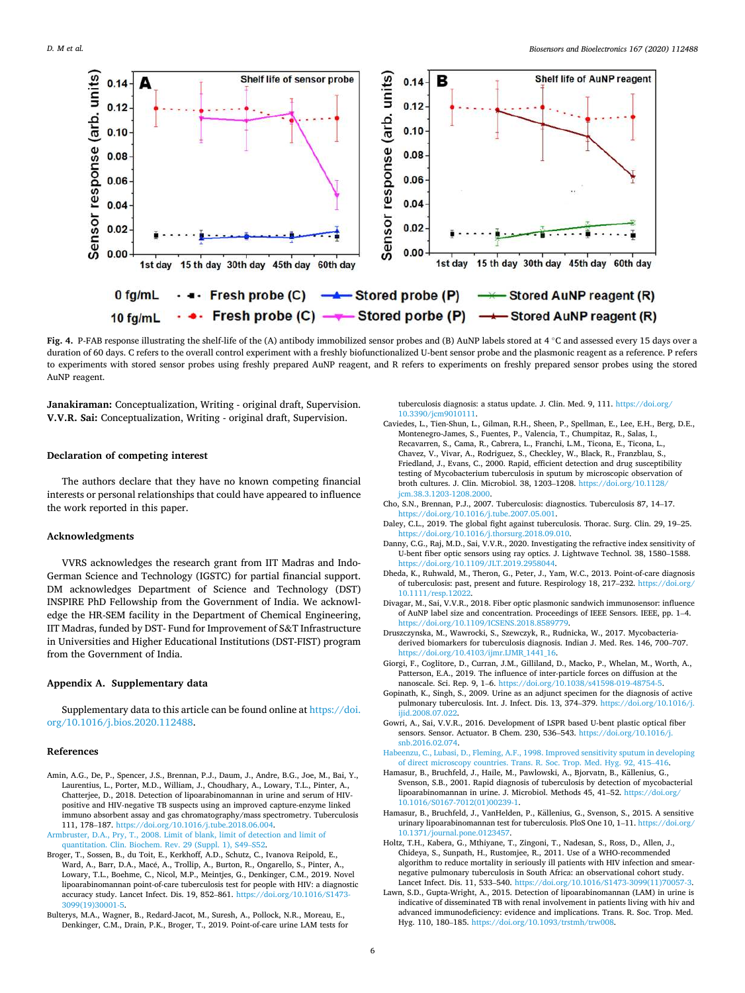<span id="page-5-0"></span>

Fig. 4. P-FAB response illustrating the shelf-life of the (A) antibody immobilized sensor probes and (B) AuNP labels stored at 4 ℃ and assessed every 15 days over a duration of 60 days. C refers to the overall control experiment with a freshly biofunctionalized U-bent sensor probe and the plasmonic reagent as a reference. P refers to experiments with stored sensor probes using freshly prepared AuNP reagent, and R refers to experiments on freshly prepared sensor probes using the stored AuNP reagent.

**Janakiraman:** Conceptualization, Writing - original draft, Supervision. **V.V.R. Sai:** Conceptualization, Writing - original draft, Supervision.

# **Declaration of competing interest**

The authors declare that they have no known competing financial interests or personal relationships that could have appeared to influence the work reported in this paper.

# **Acknowledgments**

VVRS acknowledges the research grant from IIT Madras and Indo-German Science and Technology (IGSTC) for partial financial support. DM acknowledges Department of Science and Technology (DST) INSPIRE PhD Fellowship from the Government of India. We acknowledge the HR-SEM facility in the Department of Chemical Engineering, IIT Madras, funded by DST- Fund for Improvement of S&T Infrastructure in Universities and Higher Educational Institutions (DST-FIST) program from the Government of India.

#### **Appendix A. Supplementary data**

Supplementary data to this article can be found online at [https://doi.](https://doi.org/10.1016/j.bios.2020.112488)  [org/10.1016/j.bios.2020.112488](https://doi.org/10.1016/j.bios.2020.112488).

# **References**

Amin, A.G., De, P., Spencer, J.S., Brennan, P.J., Daum, J., Andre, B.G., Joe, M., Bai, Y., Laurentius, L., Porter, M.D., William, J., Choudhary, A., Lowary, T.L., Pinter, A., Chatterjee, D., 2018. Detection of lipoarabinomannan in urine and serum of HIVpositive and HIV-negative TB suspects using an improved capture-enzyme linked immuno absorbent assay and gas chromatography/mass spectrometry. Tuberculosis 111, 178–187. <https://doi.org/10.1016/j.tube.2018.06.004>.

[Armbruster, D.A., Pry, T., 2008. Limit of blank, limit of detection and limit of](http://refhub.elsevier.com/S0956-5663(20)30481-4/sref2) [quantitation. Clin. Biochem. Rev. 29 \(Suppl. 1\), S49](http://refhub.elsevier.com/S0956-5663(20)30481-4/sref2)–S52.

- Broger, T., Sossen, B., du Toit, E., Kerkhoff, A.D., Schutz, C., Ivanova Reipold, E., Ward, A., Barr, D.A., Macé, A., Trollip, A., Burton, R., Ongarello, S., Pinter, A. Lowary, T.L., Boehme, C., Nicol, M.P., Meintjes, G., Denkinger, C.M., 2019. Novel lipoarabinomannan point-of-care tuberculosis test for people with HIV: a diagnostic accuracy study. Lancet Infect. Dis. 19, 852–861. [https://doi.org/10.1016/S1473-](https://doi.org/10.1016/S1473-3099(19)30001-5) [3099\(19\)30001-5](https://doi.org/10.1016/S1473-3099(19)30001-5).
- Bulterys, M.A., Wagner, B., Redard-Jacot, M., Suresh, A., Pollock, N.R., Moreau, E., Denkinger, C.M., Drain, P.K., Broger, T., 2019. Point-of-care urine LAM tests for

tuberculosis diagnosis: a status update. J. Clin. Med. 9, 111. [https://doi.org/](https://doi.org/10.3390/jcm9010111)  [10.3390/jcm9010111](https://doi.org/10.3390/jcm9010111).

- Caviedes, L., Tien-Shun, L., Gilman, R.H., Sheen, P., Spellman, E., Lee, E.H., Berg, D.E., Montenegro-James, S., Fuentes, P., Valencia, T., Chumpitaz, R., Salas, I., Recavarren, S., Cama, R., Cabrera, L., Franchi, L.M., Ticona, E., Ticona, L., Chavez, V., Vivar, A., Rodriguez, S., Checkley, W., Black, R., Franzblau, S., Friedland, J., Evans, C., 2000. Rapid, efficient detection and drug susceptibility testing of Mycobacterium tuberculosis in sputum by microscopic observation of broth cultures. J. Clin. Microbiol. 38, 1203–1208. [https://doi.org/10.1128/](https://doi.org/10.1128/jcm.38.3.1203-1208.2000)  [jcm.38.3.1203-1208.2000.](https://doi.org/10.1128/jcm.38.3.1203-1208.2000)
- Cho, S.N., Brennan, P.J., 2007. Tuberculosis: diagnostics. Tuberculosis 87, 14–17. <https://doi.org/10.1016/j.tube.2007.05.001>.
- Daley, C.L., 2019. The global fight against tuberculosis. Thorac. Surg. Clin. 29, 19–25. <https://doi.org/10.1016/j.thorsurg.2018.09.010>.
- Danny, C.G., Raj, M.D., Sai, V.V.R., 2020. Investigating the refractive index sensitivity of U-bent fiber optic sensors using ray optics. J. Lightwave Technol. 38, 1580–1588. [https://doi.org/10.1109/JLT.2019.2958044.](https://doi.org/10.1109/JLT.2019.2958044)
- Dheda, K., Ruhwald, M., Theron, G., Peter, J., Yam, W.C., 2013. Point-of-care diagnosis of tuberculosis: past, present and future. Respirology 18, 217–232. [https://doi.org/](https://doi.org/10.1111/resp.12022)  [10.1111/resp.12022](https://doi.org/10.1111/resp.12022).
- Divagar, M., Sai, V.V.R., 2018. Fiber optic plasmonic sandwich immunosensor: influence of AuNP label size and concentration. Proceedings of IEEE Sensors. IEEE, pp. 1–4. <https://doi.org/10.1109/ICSENS.2018.8589779>.
- Druszczynska, M., Wawrocki, S., Szewczyk, R., Rudnicka, W., 2017. Mycobacteriaderived biomarkers for tuberculosis diagnosis. Indian J. Med. Res. 146, 700–707. [https://doi.org/10.4103/ijmr.IJMR\\_1441\\_16.](https://doi.org/10.4103/ijmr.IJMR_1441_16)
- Giorgi, F., Coglitore, D., Curran, J.M., Gilliland, D., Macko, P., Whelan, M., Worth, A., Patterson, E.A., 2019. The influence of inter-particle forces on diffusion at the nanoscale. Sci. Rep. 9, 1–6. [https://doi.org/10.1038/s41598-019-48754-5.](https://doi.org/10.1038/s41598-019-48754-5)
- Gopinath, K., Singh, S., 2009. Urine as an adjunct specimen for the diagnosis of active pulmonary tuberculosis. Int. J. Infect. Dis. 13, 374–379. [https://doi.org/10.1016/j.](https://doi.org/10.1016/j.ijid.2008.07.022)  [ijid.2008.07.022.](https://doi.org/10.1016/j.ijid.2008.07.022)
- Gowri, A., Sai, V.V.R., 2016. Development of LSPR based U-bent plastic optical fiber sensors. Sensor. Actuator. B Chem. 230, 536–543. [https://doi.org/10.1016/j.](https://doi.org/10.1016/j.snb.2016.02.074) [snb.2016.02.074.](https://doi.org/10.1016/j.snb.2016.02.074)
- [Habeenzu, C., Lubasi, D., Fleming, A.F., 1998. Improved sensitivity sputum in developing](http://refhub.elsevier.com/S0956-5663(20)30481-4/sref15)  [of direct microscopy countries. Trans. R. Soc. Trop. Med. Hyg. 92, 415](http://refhub.elsevier.com/S0956-5663(20)30481-4/sref15)–416.
- Hamasur, B., Bruchfeld, J., Haile, M., Pawlowski, A., Bjorvatn, B., Källenius, G., Svenson, S.B., 2001. Rapid diagnosis of tuberculosis by detection of mycobacterial lipoarabinomannan in urine. J. Microbiol. Methods 45, 41–52. [https://doi.org/](https://doi.org/10.1016/S0167-7012(01)00239-1)  [10.1016/S0167-7012\(01\)00239-1.](https://doi.org/10.1016/S0167-7012(01)00239-1)
- Hamasur, B., Bruchfeld, J., VanHelden, P., Källenius, G., Svenson, S., 2015. A sensitive urinary lipoarabinomannan test for tuberculosis. PloS One 10, 1–11. https://doi.org/ [10.1371/journal.pone.0123457.](https://doi.org/10.1371/journal.pone.0123457)
- Holtz, T.H., Kabera, G., Mthiyane, T., Zingoni, T., Nadesan, S., Ross, D., Allen, J., Chideya, S., Sunpath, H., Rustomjee, R., 2011. Use of a WHO-recommended algorithm to reduce mortality in seriously ill patients with HIV infection and smearnegative pulmonary tuberculosis in South Africa: an observational cohort study. Lancet Infect. Dis. 11, 533–540. [https://doi.org/10.1016/S1473-3099\(11\)70057-3](https://doi.org/10.1016/S1473-3099(11)70057-3).
- Lawn, S.D., Gupta-Wright, A., 2015. Detection of lipoarabinomannan (LAM) in urine is indicative of disseminated TB with renal involvement in patients living with hiv and advanced immunodeficiency: evidence and implications. Trans. R. Soc. Trop. Med. Hyg. 110, 180–185. <https://doi.org/10.1093/trstmh/trw008>.